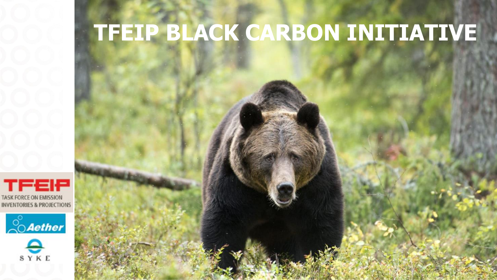### **Use powerful and TFEIP BLACK CARBON INITIATIVE**

**informative and the contract of the contract of the contract of the contract of the contract of the contract of the contract of the contract of the contract of the contract of the contract of the contract of the contract** 

**- be bold and beautiful**





SYKE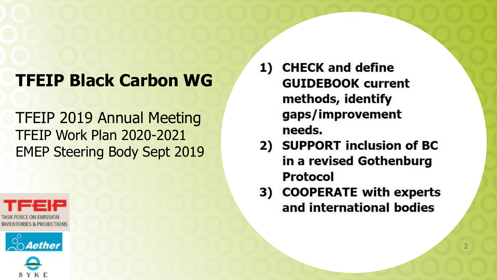# **TFEIP Black Carbon WG**

### TFEIP 2019 Annual Meeting TFEIP Work Plan 2020-2021 EMEP Steering Body Sept 2019







**CHECK and define** 1) **GUIDEBOOK current** methods, identify gaps/improvement needs.

- 2) SUPPORT inclusion of BC in a revised Gothenburg Protocol
- 3) COOPERATE with experts and international bodies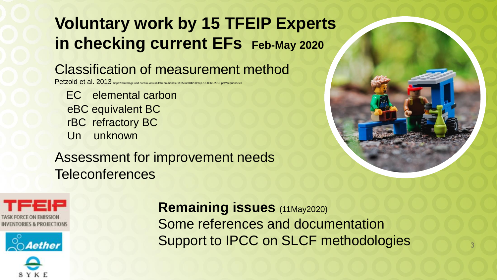# **Voluntary work by 15 TFEIP Experts in checking current EFs** Feb-May 2020

### Classification of measurement method

Petzold et al. 2013 https://nilu.brage.unit.no/nilu-xmlui/bitstream/handle/11250/2384208/acp-13-8365-2013.pdf?sequence=3

EC elemental carbon eBC equivalent BC rBC refractory BC Un unknown

Assessment for improvement needs Teleconferences





**Remaining issues** (11May2020) Some references and documentation Support to IPCC on SLCF methodologies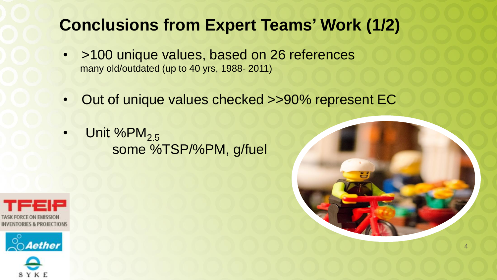## **Conclusions from Expert Teams' Work (1/2)**

- >100 unique values, based on 26 references many old/outdated (up to 40 yrs, 1988- 2011)
- Out of unique values checked >>90% represent EC
- Unit % $PM_{2.5}$ some %TSP/%PM, g/fuel





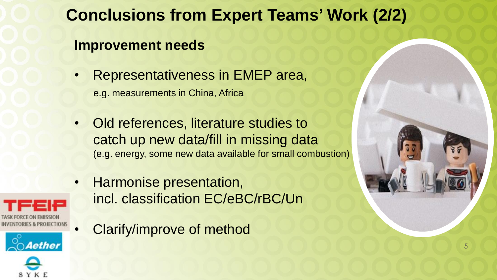# **Conclusions from Expert Teams' Work (2/2)**

### **Improvement needs**

- Representativeness in EMEP area, e.g. measurements in China, Africa
- Old references, literature studies to catch up new data/fill in missing data (e.g. energy, some new data available for small combustion)
- Harmonise presentation, incl. classification EC/eBC/rBC/Un
- Clarify/improve of method





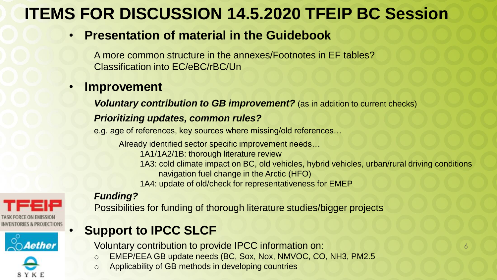# **ITEMS FOR DISCUSSION 14.5.2020 TFEIP BC Session**

#### • **Presentation of material in the Guidebook**

A more common structure in the annexes/Footnotes in EF tables? Classification into EC/eBC/rBC/Un

#### • **Improvement**

*Voluntary contribution to GB improvement?* (as in addition to current checks)

#### *Prioritizing updates, common rules?*

e.g. age of references, key sources where missing/old references…

Already identified sector specific improvement needs… 1A1/1A2/1B: thorough literature review 1A3: cold climate impact on BC, old vehicles, hybrid vehicles, urban/rural driving conditions navigation fuel change in the Arctic (HFO) 1A4: update of old/check for representativeness for EMEP

#### *Funding?*



#### Possibilities for funding of thorough literature studies/bigger projects

### • **Support to IPCC SLCF**

Voluntary contribution to provide IPCC information on:

- o EMEP/EEA GB update needs (BC, Sox, Nox, NMVOC, CO, NH3, PM2.5
- o Applicability of GB methods in developing countries

6